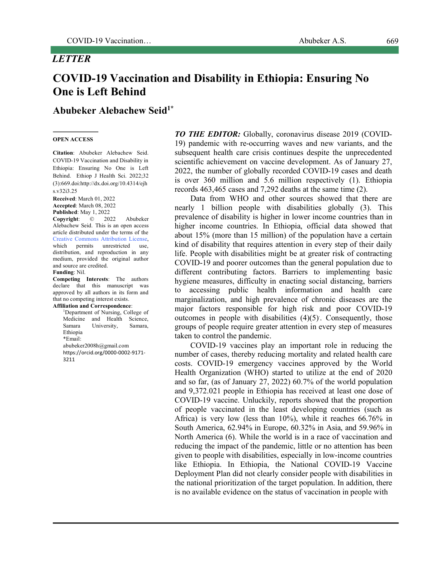## *LETTER*

# **Abubeker Alebachew Seid1\***

#### **OPEN ACCESS**

**Citation**: Abubeker Alebachew Seid. COVID-19 Vaccination and Disability in Ethiopia: Ensuring No One is Left Behind. Ethiop J Health Sci. 2022;32 (3):669.doi:http://dx.doi.org/10.4314/ejh s.v32i3.25

**Received**: March 01, 2022 **Accepted**: March 08, 2022 **Published**: May 1, 2022<br>**Convright**: 2022

**Copyright**: © 2022 Abubeker Alebachew Seid. This is an open access article distributed under the terms of the Creative Commons Attribution License, which permits unrestricted use, distribution, and reproduction in any medium, provided the original author and source are credited.

## **Funding**: Nil.

**Competing Interests**: The authors declare that this manuscript was approved by all authors in its form and that no competing interest exists. **Affiliation and Correspondence**:

1 Department of Nursing, College of Medicine and Health Science, Samara University, Samara, Ethiopia \*Email: abubeker2008h@gmail.com https://orcid.org/0000-0002-9171- 3211

*TO THE EDITOR:* Globally, coronavirus disease 2019 (COVID-19) pandemic with re-occurring waves and new variants, and the subsequent health care crisis continues despite the unprecedented scientific achievement on vaccine development. As of January 27, 2022, the number of globally recorded COVID-19 cases and death is over 360 million and 5.6 million respectively (1). Ethiopia records 463,465 cases and 7,292 deaths at the same time (2).

Data from WHO and other sources showed that there are nearly 1 billion people with disabilities globally (3). This prevalence of disability is higher in lower income countries than in higher income countries. In Ethiopia, official data showed that about 15% (more than 15 million) of the population have a certain kind of disability that requires attention in every step of their daily life. People with disabilities might be at greater risk of contracting COVID-19 and poorer outcomes than the general population due to different contributing factors. Barriers to implementing basic hygiene measures, difficulty in enacting social distancing, barriers to accessing public health information and health care marginalization, and high prevalence of chronic diseases are the major factors responsible for high risk and poor COVID-19 outcomes in people with disabilities (4)(5). . Consequently, those groups of people require greater attention in every step of measures taken to control the pandemic.

COVID-19 vaccines play an important role in reducing the number of cases, thereby reducing mortality and related health care costs. COVID-19 emergency vaccines approved by the World Health Organization (WHO) started to utilize at the end of 2020 and so far, (as of January 27, 2022) 60.7% of the world population and 9,372.021 people in Ethiopia has received at least one dose of COVID-19 vaccine. Unluckily, reports showed that the proportion of people vaccinated in the least developing countries (such as Africa) is very low (less than 10%), while it reaches 66.76% in South America, 62.94% in Europe, 60.32% in Asia, and 59.96% in North America (6). While the world is in a race of vaccination and reducing the impact of the pandemic, little or no attention has been given to people with disabilities, especially in low-income countries like Ethiopia. In Ethiopia, the National COVID-19 Vaccine Deployment Plan did not clearly consider people with disabilities in the national prioritization of the target population. In addition, there is no available evidence on the status of vaccination in people with